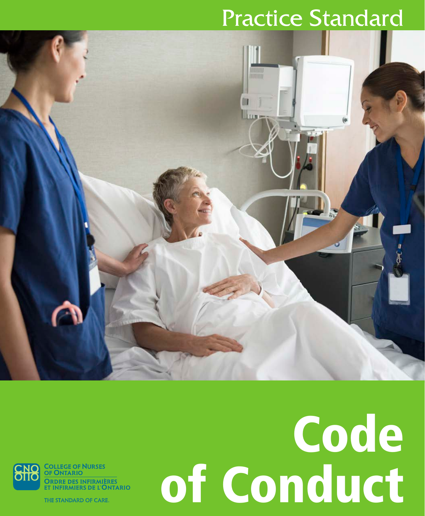## Practice Standard



Ordre des infirmières<br>et infirmiers de l'Ontario

THE STANDARD OF CARE.

## Code of Conduct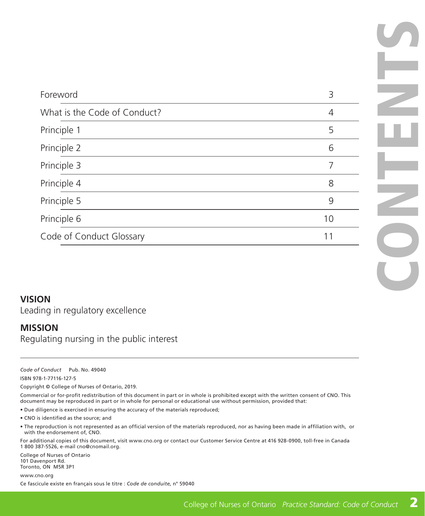| Foreword                     | 3  |
|------------------------------|----|
| What is the Code of Conduct? | 4  |
| Principle 1                  | 5  |
| Principle 2                  | 6  |
| Principle 3                  |    |
| Principle 4                  | 8  |
| Principle 5                  | 9  |
| Principle 6                  | 10 |
| Code of Conduct Glossary     | 11 |

#### **VISION**

Leading in regulatory excellence

#### **MISSION**

Regulating nursing in the public interest

*Code of Conduct* Pub. No. 49040

ISBN 978-1-77116-127-5

Copyright © College of Nurses of Ontario, 2019.

Commercial or for-profit redistribution of this document in part or in whole is prohibited except with the written consent of CNO. This document may be reproduced in part or in whole for personal or educational use without permission, provided that:

- Due diligence is exercised in ensuring the accuracy of the materials reproduced;
- CNO is identified as the source; and
- The reproduction is not represented as an official version of the materials reproduced, nor as having been made in affiliation with, or with the endorsement of, CNO.

For additional copies of this document, visit www.cno.org or contact our Customer Service Centre at 416 928-0900, toll-free in Canada 1 800 387-5526, e-mail cno@cnomail.org.

College of Nurses of Ontario 101 Davenport Rd. Toronto, ON M5R 3P1

www.cno.org

Ce fascicule existe en français sous le titre : *Code de conduite,* n° 59040

CONTENTS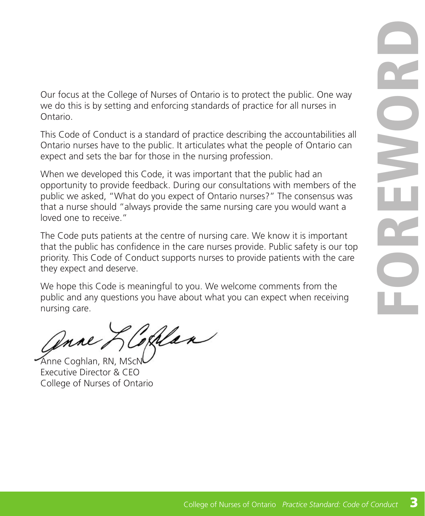<span id="page-2-0"></span>Our focus at the College of Nurses of Ontario is to protect the public. One way we do this is by setting and enforcing standards of practice for all nurses in Ontario.

This Code of Conduct is a standard of practice describing the accountabilities all Ontario nurses have to the public. It articulates what the people of Ontario can expect and sets the bar for those in the nursing profession.

When we developed this Code, it was important that the public had an opportunity to provide feedback. During our consultations with members of the public we asked, "What do you expect of Ontario nurses?" The consensus was that a nurse should "always provide the same nursing care you would want a loved one to receive."

The Code puts patients at the centre of nursing care. We know it is important that the public has confidence in the care nurses provide. Public safety is our top priority. This Code of Conduct supports nurses to provide patients with the care they expect and deserve.

We hope this Code is meaningful to you. We welcome comments from the public and any questions you have about what you can expect when receiving nursing care.

Ihlan Anne

Anne Coghlan, RN, MScN Executive Director & CEO College of Nurses of Ontario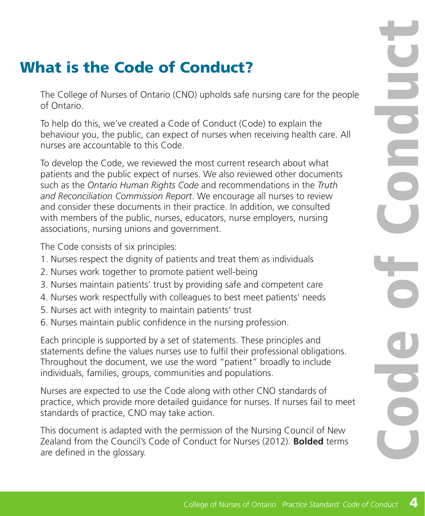### <span id="page-3-0"></span>What is the Code of Conduct?

The College of Nurses of Ontario (CNO) upholds safe nursing care for the people of Ontario.

To help do this, we've created a Code of Conduct (Code) to explain the behaviour you, the public, can expect of nurses when receiving health care. All nurses are accountable to this Code.

To develop the Code, we reviewed the most current research about what patients and the public expect of nurses. We also reviewed other documents such as the *Ontario Human Rights Code* and recommendations in the *Truth and Reconciliation Commission Report*. We encourage all nurses to review and consider these documents in their practice. In addition, we consulted with members of the public, nurses, educators, nurse employers, nursing associations, nursing unions and government.

The Code consists of six principles:

- 1. Nurses respect the dignity of patients and treat them as individuals
- 2. Nurses work together to promote patient well-being
- 3. Nurses maintain patients' trust by providing safe and competent care
- 4. Nurses work respectfully with colleagues to best meet patients' needs
- 5. Nurses act with integrity to maintain patients' trust
- 6. Nurses maintain public confidence in the nursing profession.

Each principle is supported by a set of statements. These principles and statements define the values nurses use to fulfil their professional obligations. Throughout the document, we use the word "patient" broadly to include individuals, families, groups, communities and populations.

Nurses are expected to use the Code along with other CNO standards of practice, which provide more detailed guidance for nurses. If nurses fail to meet standards of practice, CNO may take action.

This document is adapted with the permission of the Nursing Council of New Zealand from the Council's Code of Conduct for Nurses (2012). **Bolded** terms are defined in the glossary.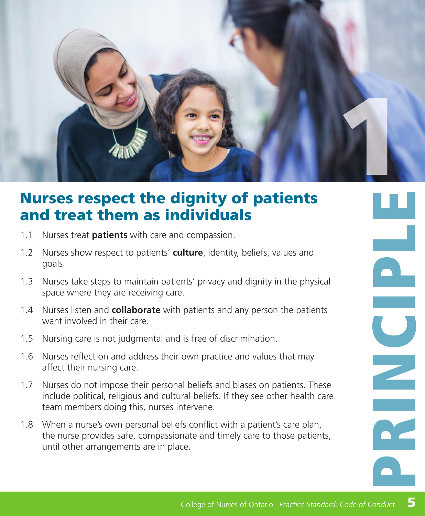<span id="page-4-0"></span>

#### Nurses respect the dignity of patients and treat them as individuals

- 1.1 Nurses treat **patients** with care and compassion.
- 1.2 Nurses show respect to patients' **culture**, identity, beliefs, values and goals.
- 1.3 Nurses take steps to maintain patients' privacy and dignity in the physical space where they are receiving care.
- 1.4 Nurses listen and **collaborate** with patients and any person the patients want involved in their care.
- 1.5 Nursing care is not judgmental and is free of discrimination.
- 1.6 Nurses reflect on and address their own practice and values that may affect their nursing care.
- 1.7 Nurses do not impose their personal beliefs and biases on patients. These include political, religious and cultural beliefs. If they see other health care team members doing this, nurses intervene.
- 1.8 When a nurse's own personal beliefs conflict with a patient's care plan, the nurse provides safe, compassionate and timely care to those patients, until other arrangements are in place.

**College of Nurses of Ontario** *Practice Standard:* **College of Nurses of Ontario** *Practice Standard:* **Code of Conduction <b>Properties**<br>
College of Nurses of Ontario *Practice Standard:* College of Nurses of Ontario *Practice*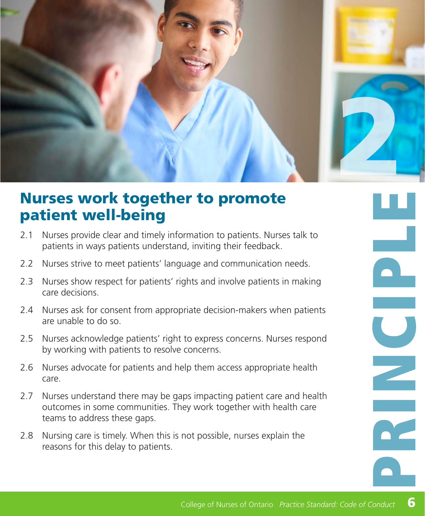<span id="page-5-0"></span>

#### Nurses work together to promote patient well-being

- 2.1 Nurses provide clear and timely information to patients. Nurses talk to patients in ways patients understand, inviting their feedback.
- 2.2 Nurses strive to meet patients' language and communication needs.
- 2.3 Nurses show respect for patients' rights and involve patients in making care decisions.
- 2.4 Nurses ask for consent from appropriate decision-makers when patients are unable to do so.
- 2.5 Nurses acknowledge patients' right to express concerns. Nurses respond by working with patients to resolve concerns.
- 2.6 Nurses advocate for patients and help them access appropriate health care.
- 2.7 Nurses understand there may be gaps impacting patient care and health outcomes in some communities. They work together with health care teams to address these gaps.
- 2.8 Nursing care is timely. When this is not possible, nurses explain the reasons for this delay to patients.

**CONSULTERED CONSULTERED CONSULTERED**  $\begin{array}{|c|} \hline \hline \hline \hline \hline \end{array}$  $\overline{\mathbf{C}}$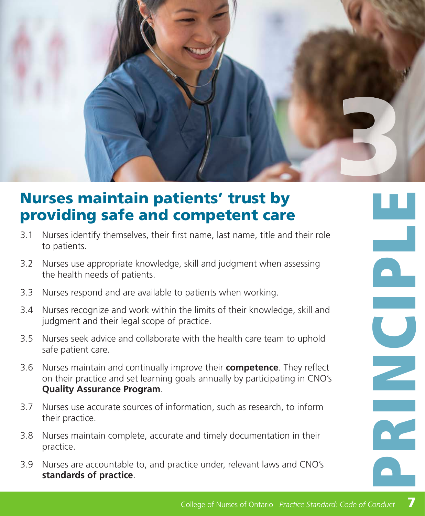<span id="page-6-0"></span>

#### Nurses maintain patients' trust by providing safe and competent care

- 3.1 Nurses identify themselves, their first name, last name, title and their role to patients.
- 3.2 Nurses use appropriate knowledge, skill and judgment when assessing the health needs of patients.
- 3.3 Nurses respond and are available to patients when working.
- 3.4 Nurses recognize and work within the limits of their knowledge, skill and judgment and their legal scope of practice.
- 3.5 Nurses seek advice and collaborate with the health care team to uphold safe patient care.
- 3.6 Nurses maintain and continually improve their **competence**. They reflect on their practice and set learning goals annually by participating in CNO's **Quality Assurance Program**.
- 3.7 Nurses use accurate sources of information, such as research, to inform their practice.
- 3.8 Nurses maintain complete, accurate and timely documentation in their practice.
- 3.9 Nurses are accountable to, and practice under, relevant laws and CNO's **standards of practice**.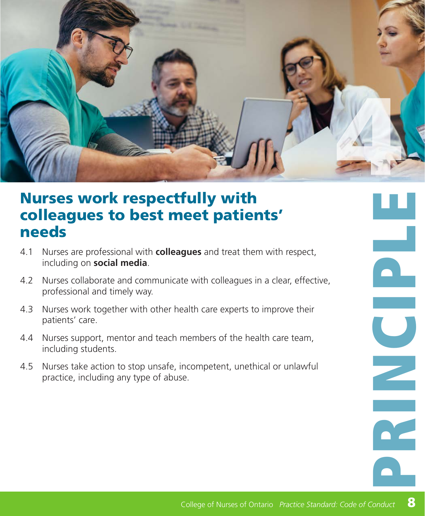<span id="page-7-0"></span>

#### Nurses work respectfully with colleagues to best meet patients' needs

- 4.1 Nurses are professional with **colleagues** and treat them with respect, including on **social media**.
- 4.2 Nurses collaborate and communicate with colleagues in a clear, effective, professional and timely way.
- 4.3 Nurses work together with other health care experts to improve their patients' care.
- 4.4 Nurses support, mentor and teach members of the health care team, including students.
- 4.5 Nurses take action to stop unsafe, incompetent, unethical or unlawful practice, including any type of abuse.

 $\begin{array}{|c|} \hline \hline \hline \hline \hline \hline \hline \hline \end{array}$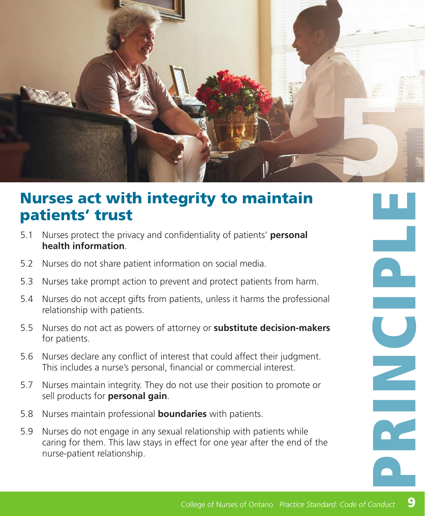<span id="page-8-0"></span>

#### Nurses act with integrity to maintain patients' trust

- 5.1 Nurses protect the privacy and confidentiality of patients' **personal health information**.
- 5.2 Nurses do not share patient information on social media.
- 5.3 Nurses take prompt action to prevent and protect patients from harm.
- 5.4 Nurses do not accept gifts from patients, unless it harms the professional relationship with patients.
- 5.5 Nurses do not act as powers of attorney or **substitute decision-makers** for patients.
- 5.6 Nurses declare any conflict of interest that could affect their judgment. This includes a nurse's personal, financial or commercial interest.
- 5.7 Nurses maintain integrity. They do not use their position to promote or sell products for **personal gain**.
- 5.8 Nurses maintain professional **boundaries** with patients.
- 5.9 Nurses do not engage in any sexual relationship with patients while caring for them. This law stays in effect for one year after the end of the nurse-patient relationship.

anduct 9  $\mathbf{P}$  $\overline{\textbf{C}}$ a. 9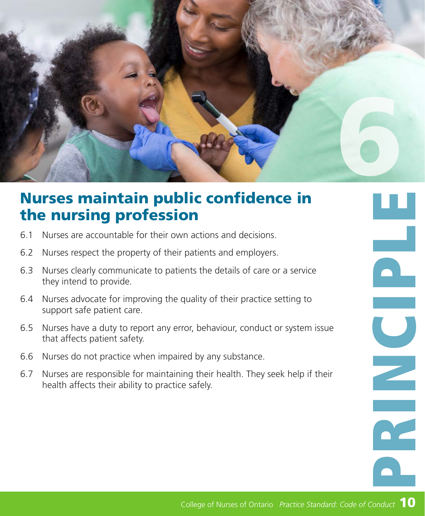<span id="page-9-0"></span>

#### Nurses maintain public confidence in the nursing profession

- 6.1 Nurses are accountable for their own actions and decisions.
- 6.2 Nurses respect the property of their patients and employers.
- 6.3 Nurses clearly communicate to patients the details of care or a service they intend to provide.
- 6.4 Nurses advocate for improving the quality of their practice setting to support safe patient care.
- 65 Nurses have a duty to report any error, behaviour, conduct or system issue that affects patient safety.
- 6.6 Nurses do not practice when impaired by any substance.
- 6.7 Nurses are responsible for maintaining their health. They seek help if their health affects their ability to practice safely.

10 PRINCIPLE CONDUCT 10 Ţ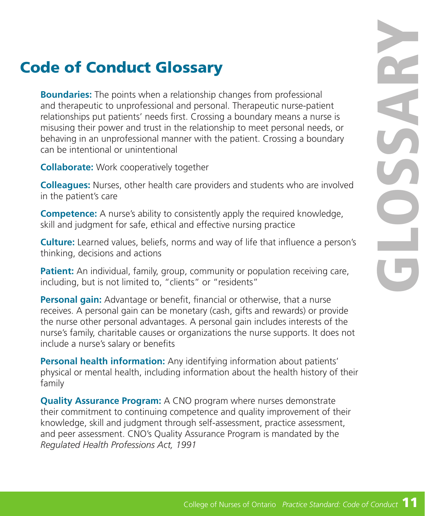### <span id="page-10-0"></span>Code of Conduct Glossary

**Boundaries:** The points when a relationship changes from professional and therapeutic to unprofessional and personal. Therapeutic nurse-patient relationships put patients' needs first. Crossing a boundary means a nurse is misusing their power and trust in the relationship to meet personal needs, or behaving in an unprofessional manner with the patient. Crossing a boundary can be intentional or unintentional

**Collaborate:** Work cooperatively together

**Colleagues:** Nurses, other health care providers and students who are involved in the patient's care

**Competence:** A nurse's ability to consistently apply the required knowledge, skill and judgment for safe, ethical and effective nursing practice

**Culture:** Learned values, beliefs, norms and way of life that influence a person's thinking, decisions and actions

**Patient:** An individual, family, group, community or population receiving care, including, but is not limited to, "clients" or "residents"

**Personal gain:** Advantage or benefit, financial or otherwise, that a nurse receives. A personal gain can be monetary (cash, gifts and rewards) or provide the nurse other personal advantages. A personal gain includes interests of the nurse's family, charitable causes or organizations the nurse supports. It does not include a nurse's salary or benefits

**Personal health information:** Any identifying information about patients' physical or mental health, including information about the health history of their family

**Quality Assurance Program:** A CNO program where nurses demonstrate their commitment to continuing competence and quality improvement of their knowledge, skill and judgment through self-assessment, practice assessment, and peer assessment. CNO's Quality Assurance Program is mandated by the *Regulated Health Professions Act, 1991*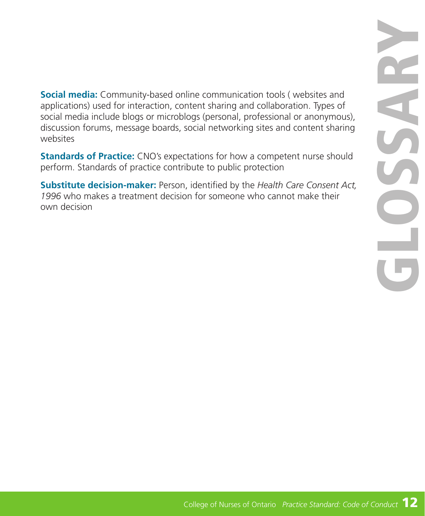**Social media:** Community-based online communication tools ( websites and applications) used for interaction, content sharing and collaboration. Types of social media include blogs or microblogs (personal, professional or anonymous), discussion forums, message boards, social networking sites and content sharing websites

**Standards of Practice:** CNO's expectations for how a competent nurse should perform. Standards of practice contribute to public protection

**Substitute decision-maker:** Person, identified by the *Health Care Consent Act, 1996* who makes a treatment decision for someone who cannot make their own decision